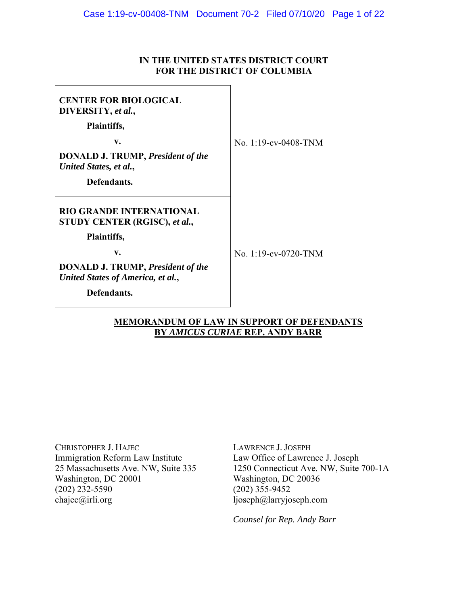## **IN THE UNITED STATES DISTRICT COURT FOR THE DISTRICT OF COLUMBIA**

| <b>CENTER FOR BIOLOGICAL</b><br>DIVERSITY, et al.,<br>Plaintiffs,             |                      |
|-------------------------------------------------------------------------------|----------------------|
| v.                                                                            | No. 1:19-cv-0408-TNM |
| <b>DONALD J. TRUMP, President of the</b><br>United States, et al.,            |                      |
| Defendants.                                                                   |                      |
| <b>RIO GRANDE INTERNATIONAL</b><br>STUDY CENTER (RGISC), et al.,              |                      |
| Plaintiffs,                                                                   |                      |
| v.                                                                            | No. 1:19-cv-0720-TNM |
| <b>DONALD J. TRUMP, President of the</b><br>United States of America, et al., |                      |
| Defendants.                                                                   |                      |

## **MEMORANDUM OF LAW IN SUPPORT OF DEFENDANTS BY** *AMICUS CURIAE* **REP. ANDY BARR**

CHRISTOPHER J. HAJEC Immigration Reform Law Institute 25 Massachusetts Ave. NW, Suite 335 Washington, DC 20001  $(202)$   $232-5590$ chajec@irli.org

LAWRENCE J. JOSEPH Law Office of Lawrence J. Joseph 1250 Connecticut Ave. NW, Suite 700-1A Washington, DC 20036  $(202)$  355-9452 ljoseph@larryjoseph.com

*Counsel for Rep. Andy Barr*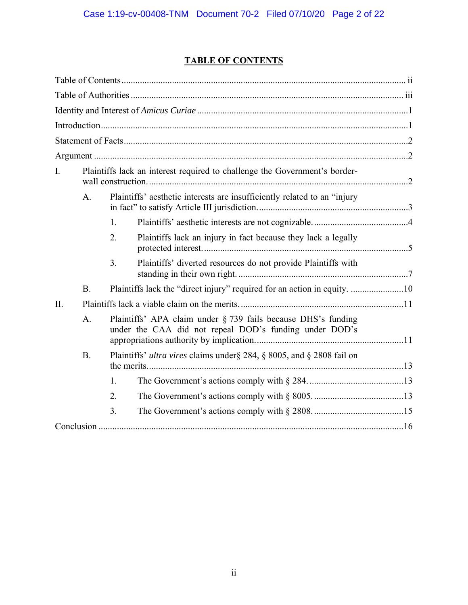## **TABLE OF CONTENTS**

| I.  |                |                                                                                                                         | Plaintiffs lack an interest required to challenge the Government's border- |  |
|-----|----------------|-------------------------------------------------------------------------------------------------------------------------|----------------------------------------------------------------------------|--|
|     | $\mathsf{A}$ . |                                                                                                                         | Plaintiffs' aesthetic interests are insufficiently related to an "injury   |  |
|     |                | 1.                                                                                                                      |                                                                            |  |
|     |                | 2.                                                                                                                      | Plaintiffs lack an injury in fact because they lack a legally              |  |
|     |                | 3.                                                                                                                      | Plaintiffs' diverted resources do not provide Plaintiffs with              |  |
|     | <b>B.</b>      |                                                                                                                         | Plaintiffs lack the "direct injury" required for an action in equity. 10   |  |
| II. |                |                                                                                                                         |                                                                            |  |
|     | A.             | Plaintiffs' APA claim under § 739 fails because DHS's funding<br>under the CAA did not repeal DOD's funding under DOD's |                                                                            |  |
|     | <b>B.</b>      |                                                                                                                         | Plaintiffs' ultra vires claims under § 284, § 8005, and § 2808 fail on     |  |
|     |                | 1.                                                                                                                      |                                                                            |  |
|     |                | 2.                                                                                                                      |                                                                            |  |
|     |                | 3.                                                                                                                      |                                                                            |  |
|     |                |                                                                                                                         |                                                                            |  |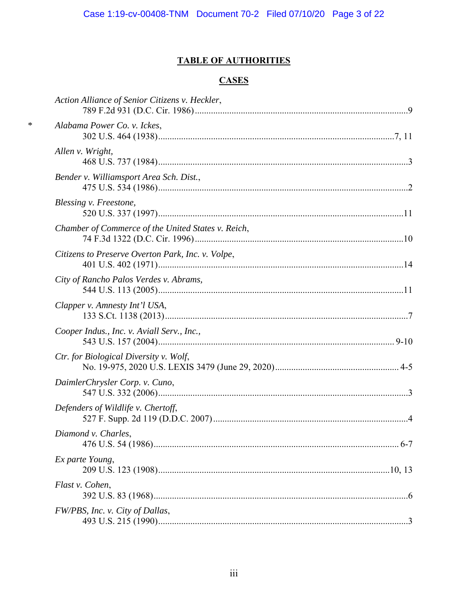## **TABLE OF AUTHORITIES**

## **CASES**

 $\ast$ 

| Action Alliance of Senior Citizens v. Heckler,     |
|----------------------------------------------------|
| Alabama Power Co. v. Ickes,                        |
| Allen v. Wright,                                   |
| Bender v. Williamsport Area Sch. Dist.,            |
| Blessing v. Freestone,                             |
| Chamber of Commerce of the United States v. Reich, |
| Citizens to Preserve Overton Park, Inc. v. Volpe,  |
| City of Rancho Palos Verdes v. Abrams,             |
| Clapper v. Amnesty Int'l USA,                      |
| Cooper Indus., Inc. v. Aviall Serv., Inc.,         |
| Ctr. for Biological Diversity v. Wolf,             |
| DaimlerChrysler Corp. v. Cuno,                     |
| Defenders of Wildlife v. Chertoff,                 |
| Diamond v. Charles,                                |
| Ex parte Young,                                    |
| Flast v. Cohen,                                    |
| FW/PBS, Inc. v. City of Dallas,                    |
|                                                    |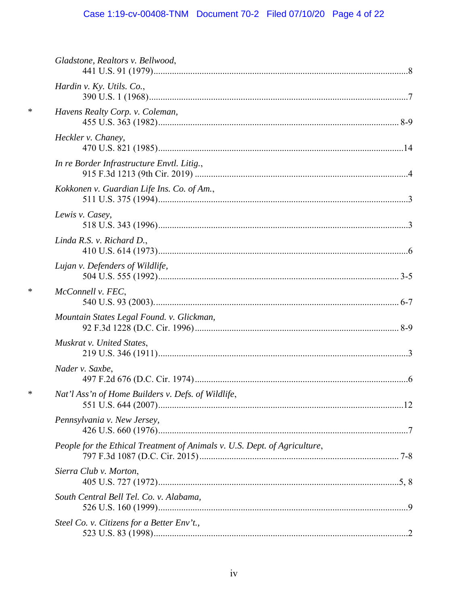# Case 1:19-cv-00408-TNM Document 70-2 Filed 07/10/20 Page 4 of 22

|        | Gladstone, Realtors v. Bellwood,                                          |  |
|--------|---------------------------------------------------------------------------|--|
|        | Hardin v. Ky. Utils. Co.,                                                 |  |
| $\ast$ | Havens Realty Corp. v. Coleman,                                           |  |
|        | Heckler v. Chaney,                                                        |  |
|        | In re Border Infrastructure Envtl. Litig.,                                |  |
|        | Kokkonen v. Guardian Life Ins. Co. of Am.,                                |  |
|        | Lewis v. Casey,                                                           |  |
|        | Linda R.S. v. Richard D.,                                                 |  |
|        | Lujan v. Defenders of Wildlife,                                           |  |
| $\ast$ | McConnell v. FEC,                                                         |  |
|        | Mountain States Legal Found. v. Glickman,                                 |  |
|        | Muskrat v. United States,                                                 |  |
|        | Nader v. Saxbe,                                                           |  |
| $\ast$ | Nat'l Ass'n of Home Builders v. Defs. of Wildlife,                        |  |
|        | Pennsylvania v. New Jersey,                                               |  |
|        | People for the Ethical Treatment of Animals v. U.S. Dept. of Agriculture, |  |
|        | Sierra Club v. Morton,                                                    |  |
|        | South Central Bell Tel. Co. v. Alabama,                                   |  |
|        | Steel Co. v. Citizens for a Better Env't.,                                |  |
|        |                                                                           |  |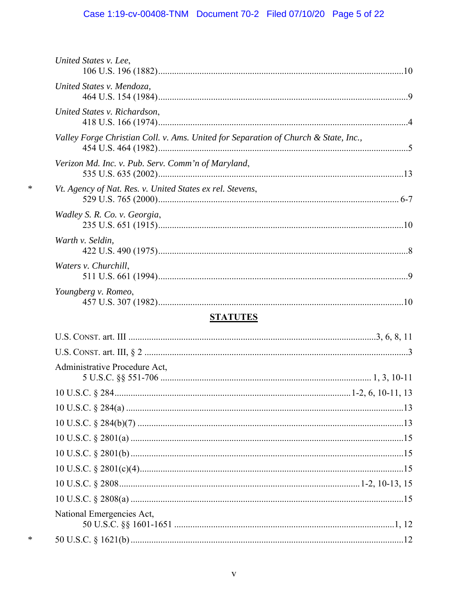# Case 1:19-cv-00408-TNM Document 70-2 Filed 07/10/20 Page 5 of 22

| United States v. Lee,                                                               |
|-------------------------------------------------------------------------------------|
| United States v. Mendoza,                                                           |
| United States v. Richardson,                                                        |
| Valley Forge Christian Coll. v. Ams. United for Separation of Church & State, Inc., |
| Verizon Md. Inc. v. Pub. Serv. Comm'n of Maryland,                                  |
| Vt. Agency of Nat. Res. v. United States ex rel. Stevens,                           |
| Wadley S. R. Co. v. Georgia,                                                        |
| Warth v. Seldin,                                                                    |
| Waters v. Churchill,                                                                |
| Youngberg v. Romeo,                                                                 |
| <b>STATUTES</b>                                                                     |
|                                                                                     |
|                                                                                     |
| Administrative Procedure Act,                                                       |

 $\ast$ 

 $\ast$ 

| <i>i</i> Rahminotrati ve 1 roceaare 7 ret. |  |
|--------------------------------------------|--|
|                                            |  |
|                                            |  |
|                                            |  |
|                                            |  |
|                                            |  |
|                                            |  |
|                                            |  |
|                                            |  |
|                                            |  |
| National Emergencies Act,                  |  |
|                                            |  |
|                                            |  |

 $\mathbf{V}$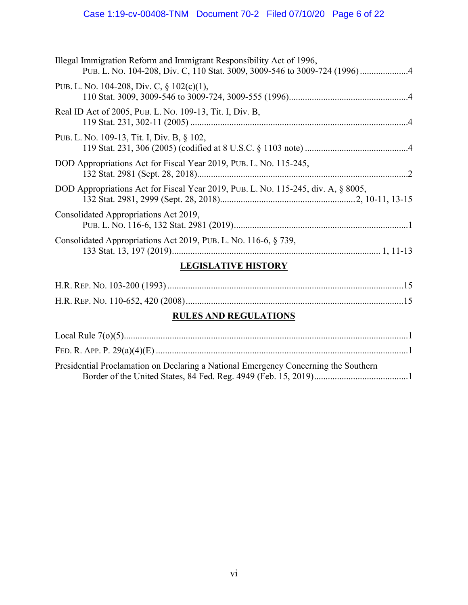# Case 1:19-cv-00408-TNM Document 70-2 Filed 07/10/20 Page 6 of 22

| I ECICI ATIVE HICTODV                                                             |
|-----------------------------------------------------------------------------------|
| Consolidated Appropriations Act 2019, PUB. L. No. 116-6, § 739,                   |
| Consolidated Appropriations Act 2019,                                             |
| DOD Appropriations Act for Fiscal Year 2019, PUB. L. No. 115-245, div. A, § 8005, |
| DOD Appropriations Act for Fiscal Year 2019, PUB. L. No. 115-245,                 |
| PUB. L. No. 109-13, Tit. I, Div. B, § 102,                                        |
| Real ID Act of 2005, PUB. L. No. 109-13, Tit. I, Div. B,                          |
| PUB. L. No. 104-208, Div. C, $\S$ 102(c)(1),                                      |
| Illegal Immigration Reform and Immigrant Responsibility Act of 1996,              |

### **LEGISLATIVE HISTORY**

## **RULES AND REGULATIONS**

| Presidential Proclamation on Declaring a National Emergency Concerning the Southern |  |
|-------------------------------------------------------------------------------------|--|
|                                                                                     |  |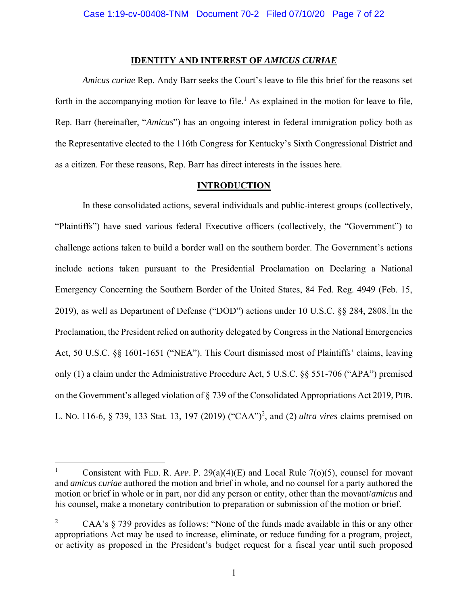#### **IDENTITY AND INTEREST OF** *AMICUS CURIAE*

*Amicus curiae* Rep. Andy Barr seeks the Court's leave to file this brief for the reasons set forth in the accompanying motion for leave to file.<sup>1</sup> As explained in the motion for leave to file, Rep. Barr (hereinafter, "*Amicus*") has an ongoing interest in federal immigration policy both as the Representative elected to the 116th Congress for Kentucky's Sixth Congressional District and as a citizen. For these reasons, Rep. Barr has direct interests in the issues here.

#### **INTRODUCTION**

In these consolidated actions, several individuals and public-interest groups (collectively, "Plaintiffs") have sued various federal Executive officers (collectively, the "Government") to challenge actions taken to build a border wall on the southern border. The Government's actions include actions taken pursuant to the Presidential Proclamation on Declaring a National Emergency Concerning the Southern Border of the United States, 84 Fed. Reg. 4949 (Feb. 15, 2019), as well as Department of Defense ("DOD") actions under 10 U.S.C. §§ 284, 2808. In the Proclamation, the President relied on authority delegated by Congress in the National Emergencies Act, 50 U.S.C. §§ 1601-1651 ("NEA"). This Court dismissed most of Plaintiffs' claims, leaving only (1) a claim under the Administrative Procedure Act, 5 U.S.C. §§ 551-706 ("APA") premised on the Government's alleged violation of § 739 of the Consolidated Appropriations Act 2019, PUB. L. NO. 116-6, § 739, 133 Stat. 13, 197 (2019) ("CAA")<sup>2</sup> , and (2) *ultra vires* claims premised on

<sup>1</sup> Consistent with FED. R. APP. P.  $29(a)(4)(E)$  and Local Rule 7(o)(5), counsel for movant and *amicus curiae* authored the motion and brief in whole, and no counsel for a party authored the motion or brief in whole or in part, nor did any person or entity, other than the movant/*amicus* and his counsel, make a monetary contribution to preparation or submission of the motion or brief.

<sup>2</sup> CAA's § 739 provides as follows: "None of the funds made available in this or any other appropriations Act may be used to increase, eliminate, or reduce funding for a program, project, or activity as proposed in the President's budget request for a fiscal year until such proposed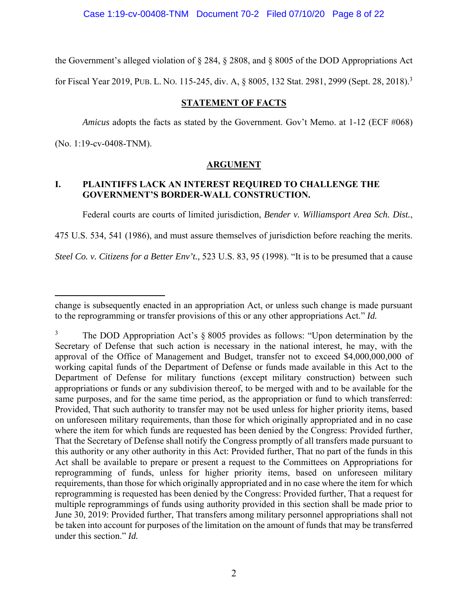Case 1:19-cv-00408-TNM Document 70-2 Filed 07/10/20 Page 8 of 22

the Government's alleged violation of § 284, § 2808, and § 8005 of the DOD Appropriations Act

for Fiscal Year 2019, PUB. L. NO. 115-245, div. A, § 8005, 132 Stat. 2981, 2999 (Sept. 28, 2018).3

## **STATEMENT OF FACTS**

*Amicus* adopts the facts as stated by the Government. Gov't Memo. at 1-12 (ECF #068) (No. 1:19-cv-0408-TNM).

## **ARGUMENT**

## **I. PLAINTIFFS LACK AN INTEREST REQUIRED TO CHALLENGE THE GOVERNMENT'S BORDER-WALL CONSTRUCTION.**

Federal courts are courts of limited jurisdiction, *Bender v. Williamsport Area Sch. Dist.*,

475 U.S. 534, 541 (1986), and must assure themselves of jurisdiction before reaching the merits.

*Steel Co. v. Citizens for a Better Env't.,* 523 U.S. 83, 95 (1998). "It is to be presumed that a cause

change is subsequently enacted in an appropriation Act, or unless such change is made pursuant to the reprogramming or transfer provisions of this or any other appropriations Act." *Id.*

<sup>3</sup> The DOD Appropriation Act's § 8005 provides as follows: "Upon determination by the Secretary of Defense that such action is necessary in the national interest, he may, with the approval of the Office of Management and Budget, transfer not to exceed \$4,000,000,000 of working capital funds of the Department of Defense or funds made available in this Act to the Department of Defense for military functions (except military construction) between such appropriations or funds or any subdivision thereof, to be merged with and to be available for the same purposes, and for the same time period, as the appropriation or fund to which transferred: Provided, That such authority to transfer may not be used unless for higher priority items, based on unforeseen military requirements, than those for which originally appropriated and in no case where the item for which funds are requested has been denied by the Congress: Provided further, That the Secretary of Defense shall notify the Congress promptly of all transfers made pursuant to this authority or any other authority in this Act: Provided further, That no part of the funds in this Act shall be available to prepare or present a request to the Committees on Appropriations for reprogramming of funds, unless for higher priority items, based on unforeseen military requirements, than those for which originally appropriated and in no case where the item for which reprogramming is requested has been denied by the Congress: Provided further, That a request for multiple reprogrammings of funds using authority provided in this section shall be made prior to June 30, 2019: Provided further, That transfers among military personnel appropriations shall not be taken into account for purposes of the limitation on the amount of funds that may be transferred under this section." *Id.*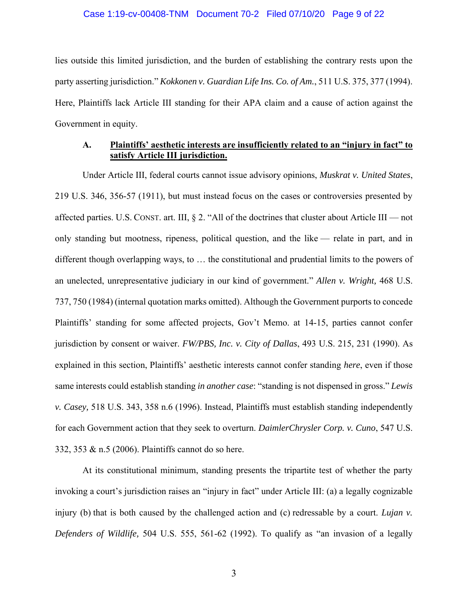#### Case 1:19-cv-00408-TNM Document 70-2 Filed 07/10/20 Page 9 of 22

lies outside this limited jurisdiction, and the burden of establishing the contrary rests upon the party asserting jurisdiction." *Kokkonen v. Guardian Life Ins. Co. of Am.*, 511 U.S. 375, 377 (1994). Here, Plaintiffs lack Article III standing for their APA claim and a cause of action against the Government in equity.

## **A. Plaintiffs' aesthetic interests are insufficiently related to an "injury in fact" to satisfy Article III jurisdiction.**

Under Article III, federal courts cannot issue advisory opinions, *Muskrat v. United States*, 219 U.S. 346, 356-57 (1911), but must instead focus on the cases or controversies presented by affected parties. U.S. CONST. art. III,  $\S 2$ . "All of the doctrines that cluster about Article III — not only standing but mootness, ripeness, political question, and the like — relate in part, and in different though overlapping ways, to … the constitutional and prudential limits to the powers of an unelected, unrepresentative judiciary in our kind of government." *Allen v. Wright,* 468 U.S. 737, 750 (1984) (internal quotation marks omitted). Although the Government purports to concede Plaintiffs' standing for some affected projects, Gov't Memo. at 14-15, parties cannot confer jurisdiction by consent or waiver. *FW/PBS, Inc. v. City of Dallas*, 493 U.S. 215, 231 (1990). As explained in this section, Plaintiffs' aesthetic interests cannot confer standing *here*, even if those same interests could establish standing *in another case*: "standing is not dispensed in gross." *Lewis v. Casey,* 518 U.S. 343, 358 n.6 (1996). Instead, Plaintiffs must establish standing independently for each Government action that they seek to overturn. *DaimlerChrysler Corp. v. Cuno*, 547 U.S. 332, 353 & n.5 (2006). Plaintiffs cannot do so here.

At its constitutional minimum, standing presents the tripartite test of whether the party invoking a court's jurisdiction raises an "injury in fact" under Article III: (a) a legally cognizable injury (b) that is both caused by the challenged action and (c) redressable by a court. *Lujan v. Defenders of Wildlife,* 504 U.S. 555, 561-62 (1992). To qualify as "an invasion of a legally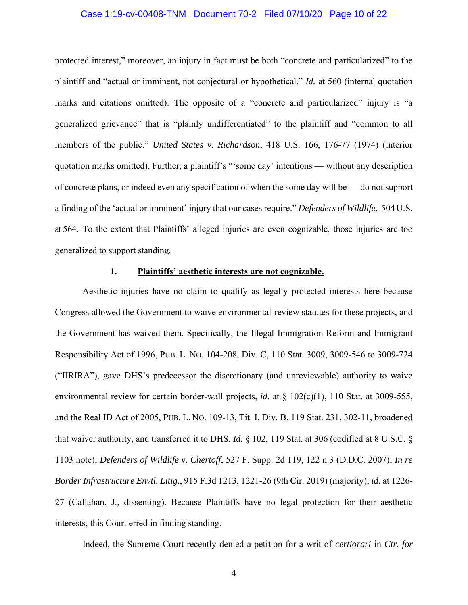#### Case 1:19-cv-00408-TNM Document 70-2 Filed 07/10/20 Page 10 of 22

protected interest," moreover, an injury in fact must be both "concrete and particularized" to the plaintiff and "actual or imminent, not conjectural or hypothetical." *Id.* at 560 (internal quotation marks and citations omitted). The opposite of a "concrete and particularized" injury is "a generalized grievance" that is "plainly undifferentiated" to the plaintiff and "common to all members of the public." *United States v. Richardson*, 418 U.S. 166, 176-77 (1974) (interior quotation marks omitted). Further, a plaintiff's "'some day' intentions — without any description of concrete plans, or indeed even any specification of when the some day will be — do not support a finding of the 'actual or imminent' injury that our cases require." *Defenders of Wildlife*, 504 U.S. at 564. To the extent that Plaintiffs' alleged injuries are even cognizable, those injuries are too generalized to support standing.

## **1. Plaintiffs' aesthetic interests are not cognizable.**

Aesthetic injuries have no claim to qualify as legally protected interests here because Congress allowed the Government to waive environmental-review statutes for these projects, and the Government has waived them. Specifically, the Illegal Immigration Reform and Immigrant Responsibility Act of 1996, PUB. L. NO. 104-208, Div. C, 110 Stat. 3009, 3009-546 to 3009-724 ("IIRIRA"), gave DHS's predecessor the discretionary (and unreviewable) authority to waive environmental review for certain border-wall projects, *id.* at § 102(c)(1), 110 Stat. at 3009-555, and the Real ID Act of 2005, PUB. L. NO. 109-13, Tit. I, Div. B, 119 Stat. 231, 302-11, broadened that waiver authority, and transferred it to DHS. *Id.* § 102, 119 Stat. at 306 (codified at 8 U.S.C. § 1103 note); *Defenders of Wildlife v. Chertoff*, 527 F. Supp. 2d 119, 122 n.3 (D.D.C. 2007); *In re Border Infrastructure Envtl. Litig.*, 915 F.3d 1213, 1221-26 (9th Cir. 2019) (majority); *id.* at 1226- 27 (Callahan, J., dissenting). Because Plaintiffs have no legal protection for their aesthetic interests, this Court erred in finding standing.

Indeed, the Supreme Court recently denied a petition for a writ of *certiorari* in *Ctr. for*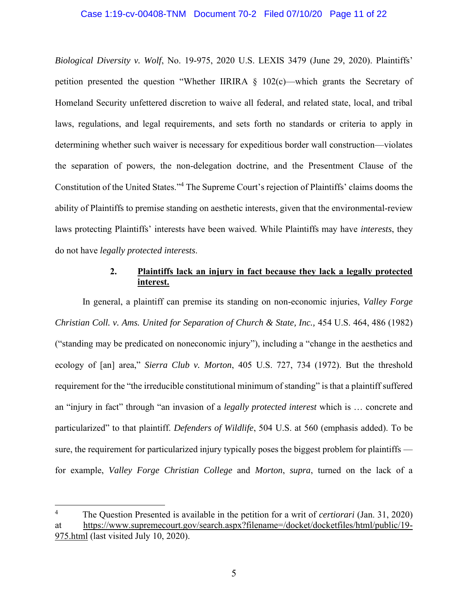#### Case 1:19-cv-00408-TNM Document 70-2 Filed 07/10/20 Page 11 of 22

*Biological Diversity v. Wolf*, No. 19-975, 2020 U.S. LEXIS 3479 (June 29, 2020). Plaintiffs' petition presented the question "Whether IIRIRA § 102(c)—which grants the Secretary of Homeland Security unfettered discretion to waive all federal, and related state, local, and tribal laws, regulations, and legal requirements, and sets forth no standards or criteria to apply in determining whether such waiver is necessary for expeditious border wall construction—violates the separation of powers, the non-delegation doctrine, and the Presentment Clause of the Constitution of the United States."<sup>4</sup> The Supreme Court's rejection of Plaintiffs' claims dooms the ability of Plaintiffs to premise standing on aesthetic interests, given that the environmental-review laws protecting Plaintiffs' interests have been waived. While Plaintiffs may have *interests*, they do not have *legally protected interests*.

## **2. Plaintiffs lack an injury in fact because they lack a legally protected interest.**

In general, a plaintiff can premise its standing on non-economic injuries, *Valley Forge Christian Coll. v. Ams. United for Separation of Church & State, Inc.,* 454 U.S. 464, 486 (1982) ("standing may be predicated on noneconomic injury"), including a "change in the aesthetics and ecology of [an] area," *Sierra Club v. Morton*, 405 U.S. 727, 734 (1972). But the threshold requirement for the "the irreducible constitutional minimum of standing" is that a plaintiff suffered an "injury in fact" through "an invasion of a *legally protected interest* which is … concrete and particularized" to that plaintiff. *Defenders of Wildlife*, 504 U.S. at 560 (emphasis added). To be sure, the requirement for particularized injury typically poses the biggest problem for plaintiffs for example, *Valley Forge Christian College* and *Morton*, *supra*, turned on the lack of a

<sup>4</sup> The Question Presented is available in the petition for a writ of *certiorari* (Jan. 31, 2020) at https://www.supremecourt.gov/search.aspx?filename=/docket/docketfiles/html/public/19- 975.html (last visited July 10, 2020).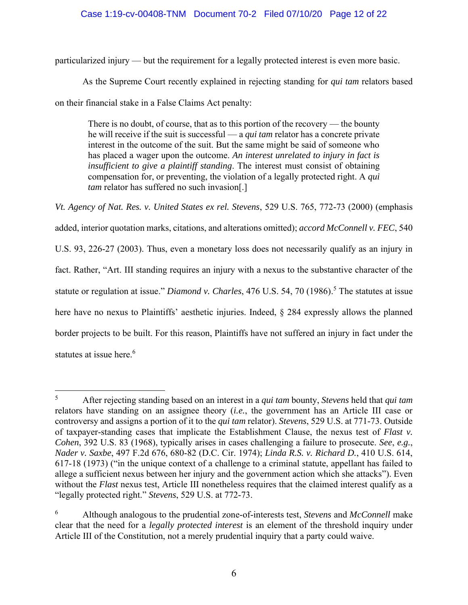## Case 1:19-cv-00408-TNM Document 70-2 Filed 07/10/20 Page 12 of 22

particularized injury — but the requirement for a legally protected interest is even more basic.

As the Supreme Court recently explained in rejecting standing for *qui tam* relators based

on their financial stake in a False Claims Act penalty:

There is no doubt, of course, that as to this portion of the recovery — the bounty he will receive if the suit is successful — a *qui tam* relator has a concrete private interest in the outcome of the suit. But the same might be said of someone who has placed a wager upon the outcome. *An interest unrelated to injury in fact is insufficient to give a plaintiff standing*. The interest must consist of obtaining compensation for, or preventing, the violation of a legally protected right. A *qui tam* relator has suffered no such invasion[.]

*Vt. Agency of Nat. Res. v. United States ex rel. Stevens*, 529 U.S. 765, 772-73 (2000) (emphasis added, interior quotation marks, citations, and alterations omitted); *accord McConnell v. FEC*, 540 U.S. 93, 226-27 (2003). Thus, even a monetary loss does not necessarily qualify as an injury in fact. Rather, "Art. III standing requires an injury with a nexus to the substantive character of the statute or regulation at issue." *Diamond v. Charles*, 476 U.S. 54, 70 (1986).<sup>5</sup> The statutes at issue here have no nexus to Plaintiffs' aesthetic injuries. Indeed, § 284 expressly allows the planned border projects to be built. For this reason, Plaintiffs have not suffered an injury in fact under the statutes at issue here.<sup>6</sup>

<sup>5</sup> After rejecting standing based on an interest in a *qui tam* bounty, *Stevens* held that *qui tam* relators have standing on an assignee theory (*i.e.*, the government has an Article III case or controversy and assigns a portion of it to the *qui tam* relator). *Stevens*, 529 U.S. at 771-73. Outside of taxpayer-standing cases that implicate the Establishment Clause, the nexus test of *Flast v. Cohen*, 392 U.S. 83 (1968), typically arises in cases challenging a failure to prosecute. *See*, *e.g.*, *Nader v. Saxbe*, 497 F.2d 676, 680-82 (D.C. Cir. 1974); *Linda R.S. v. Richard D.*, 410 U.S. 614, 617-18 (1973) ("in the unique context of a challenge to a criminal statute, appellant has failed to allege a sufficient nexus between her injury and the government action which she attacks"). Even without the *Flast* nexus test, Article III nonetheless requires that the claimed interest qualify as a "legally protected right." *Stevens*, 529 U.S. at 772-73.

<sup>6</sup> Although analogous to the prudential zone-of-interests test, *Stevens* and *McConnell* make clear that the need for a *legally protected interest* is an element of the threshold inquiry under Article III of the Constitution, not a merely prudential inquiry that a party could waive.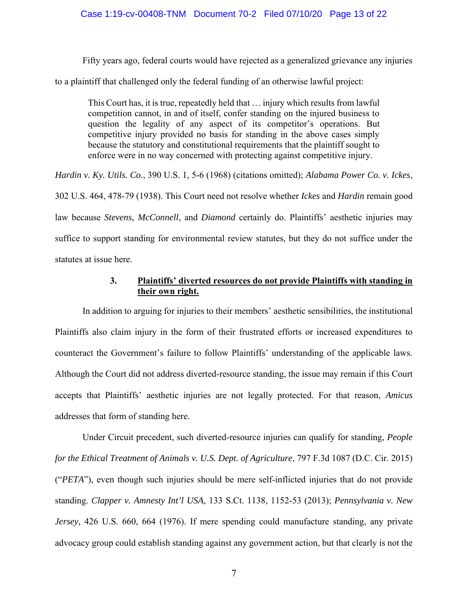#### Case 1:19-cv-00408-TNM Document 70-2 Filed 07/10/20 Page 13 of 22

Fifty years ago, federal courts would have rejected as a generalized grievance any injuries

to a plaintiff that challenged only the federal funding of an otherwise lawful project:

This Court has, it is true, repeatedly held that … injury which results from lawful competition cannot, in and of itself, confer standing on the injured business to question the legality of any aspect of its competitor's operations. But competitive injury provided no basis for standing in the above cases simply because the statutory and constitutional requirements that the plaintiff sought to enforce were in no way concerned with protecting against competitive injury.

*Hardin v. Ky. Utils. Co.*, 390 U.S. 1, 5-6 (1968) (citations omitted); *Alabama Power Co. v. Ickes*, 302 U.S. 464, 478-79 (1938). This Court need not resolve whether *Ickes* and *Hardin* remain good law because *Stevens*, *McConnell*, and *Diamond* certainly do. Plaintiffs' aesthetic injuries may suffice to support standing for environmental review statutes, but they do not suffice under the

statutes at issue here.

## **3. Plaintiffs' diverted resources do not provide Plaintiffs with standing in their own right.**

In addition to arguing for injuries to their members' aesthetic sensibilities, the institutional Plaintiffs also claim injury in the form of their frustrated efforts or increased expenditures to counteract the Government's failure to follow Plaintiffs' understanding of the applicable laws. Although the Court did not address diverted-resource standing, the issue may remain if this Court accepts that Plaintiffs' aesthetic injuries are not legally protected. For that reason, *Amicus* addresses that form of standing here.

Under Circuit precedent, such diverted-resource injuries can qualify for standing, *People for the Ethical Treatment of Animals v. U.S. Dept. of Agriculture*, 797 F.3d 1087 (D.C. Cir. 2015) ("*PETA*"), even though such injuries should be mere self-inflicted injuries that do not provide standing. *Clapper v. Amnesty Int'l USA*, 133 S.Ct. 1138, 1152-53 (2013); *Pennsylvania v. New Jersey,* 426 U.S. 660, 664 (1976). If mere spending could manufacture standing, any private advocacy group could establish standing against any government action, but that clearly is not the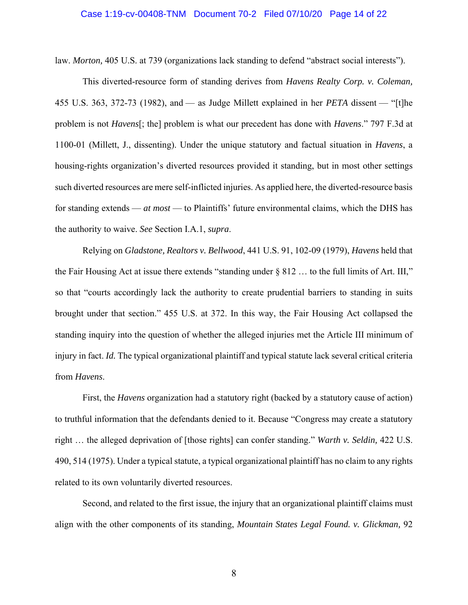#### Case 1:19-cv-00408-TNM Document 70-2 Filed 07/10/20 Page 14 of 22

law. *Morton,* 405 U.S. at 739 (organizations lack standing to defend "abstract social interests").

This diverted-resource form of standing derives from *Havens Realty Corp. v. Coleman,* 455 U.S. 363, 372-73 (1982), and — as Judge Millett explained in her *PETA* dissent — "[t]he problem is not *Havens*[; the] problem is what our precedent has done with *Havens*." 797 F.3d at 1100-01 (Millett, J., dissenting). Under the unique statutory and factual situation in *Havens*, a housing-rights organization's diverted resources provided it standing, but in most other settings such diverted resources are mere self-inflicted injuries. As applied here, the diverted-resource basis for standing extends — *at most* — to Plaintiffs' future environmental claims, which the DHS has the authority to waive. *See* Section I.A.1, *supra*.

Relying on *Gladstone, Realtors v. Bellwood*, 441 U.S. 91, 102-09 (1979), *Havens* held that the Fair Housing Act at issue there extends "standing under § 812 … to the full limits of Art. III," so that "courts accordingly lack the authority to create prudential barriers to standing in suits brought under that section." 455 U.S. at 372. In this way, the Fair Housing Act collapsed the standing inquiry into the question of whether the alleged injuries met the Article III minimum of injury in fact. *Id.* The typical organizational plaintiff and typical statute lack several critical criteria from *Havens*.

First, the *Havens* organization had a statutory right (backed by a statutory cause of action) to truthful information that the defendants denied to it. Because "Congress may create a statutory right … the alleged deprivation of [those rights] can confer standing." *Warth v. Seldin,* 422 U.S. 490, 514 (1975). Under a typical statute, a typical organizational plaintiff has no claim to any rights related to its own voluntarily diverted resources.

Second, and related to the first issue, the injury that an organizational plaintiff claims must align with the other components of its standing, *Mountain States Legal Found. v. Glickman,* 92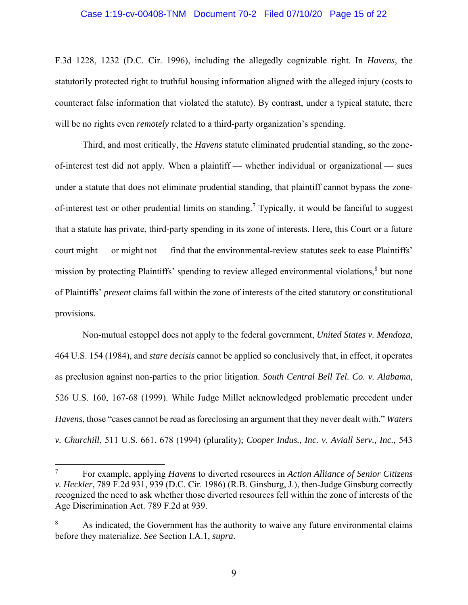#### Case 1:19-cv-00408-TNM Document 70-2 Filed 07/10/20 Page 15 of 22

F.3d 1228, 1232 (D.C. Cir. 1996), including the allegedly cognizable right. In *Havens,* the statutorily protected right to truthful housing information aligned with the alleged injury (costs to counteract false information that violated the statute). By contrast, under a typical statute, there will be no rights even *remotely* related to a third-party organization's spending.

Third, and most critically, the *Havens* statute eliminated prudential standing, so the zoneof-interest test did not apply. When a plaintiff — whether individual or organizational — sues under a statute that does not eliminate prudential standing, that plaintiff cannot bypass the zoneof-interest test or other prudential limits on standing.<sup>7</sup> Typically, it would be fanciful to suggest that a statute has private, third-party spending in its zone of interests. Here, this Court or a future court might — or might not — find that the environmental-review statutes seek to ease Plaintiffs' mission by protecting Plaintiffs' spending to review alleged environmental violations,<sup>8</sup> but none of Plaintiffs' *present* claims fall within the zone of interests of the cited statutory or constitutional provisions.

Non-mutual estoppel does not apply to the federal government, *United States v. Mendoza,* 464 U.S. 154 (1984), and *stare decisis* cannot be applied so conclusively that, in effect, it operates as preclusion against non-parties to the prior litigation. *South Central Bell Tel. Co. v. Alabama,* 526 U.S. 160, 167-68 (1999). While Judge Millet acknowledged problematic precedent under *Havens*, those "cases cannot be read as foreclosing an argument that they never dealt with." *Waters v. Churchill*, 511 U.S. 661, 678 (1994) (plurality); *Cooper Indus., Inc. v. Aviall Serv., Inc.,* 543

<sup>7</sup> For example, applying *Havens* to diverted resources in *Action Alliance of Senior Citizens v. Heckler*, 789 F.2d 931, 939 (D.C. Cir. 1986) (R.B. Ginsburg, J.), then-Judge Ginsburg correctly recognized the need to ask whether those diverted resources fell within the zone of interests of the Age Discrimination Act. 789 F.2d at 939.

<sup>8</sup> As indicated, the Government has the authority to waive any future environmental claims before they materialize. *See* Section I.A.1, *supra*.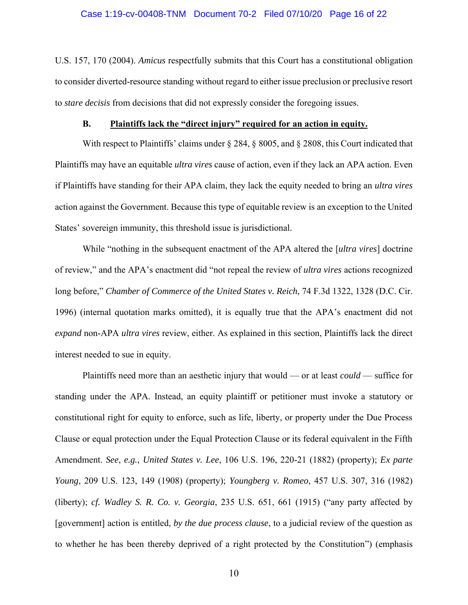#### Case 1:19-cv-00408-TNM Document 70-2 Filed 07/10/20 Page 16 of 22

U.S. 157, 170 (2004). *Amicus* respectfully submits that this Court has a constitutional obligation to consider diverted-resource standing without regard to either issue preclusion or preclusive resort to *stare decisis* from decisions that did not expressly consider the foregoing issues.

#### **B. Plaintiffs lack the "direct injury" required for an action in equity.**

With respect to Plaintiffs' claims under § 284, § 8005, and § 2808, this Court indicated that Plaintiffs may have an equitable *ultra vires* cause of action, even if they lack an APA action. Even if Plaintiffs have standing for their APA claim, they lack the equity needed to bring an *ultra vires* action against the Government. Because this type of equitable review is an exception to the United States' sovereign immunity, this threshold issue is jurisdictional.

While "nothing in the subsequent enactment of the APA altered the [*ultra vires*] doctrine of review," and the APA's enactment did "not repeal the review of *ultra vires* actions recognized long before," *Chamber of Commerce of the United States v. Reich*, 74 F.3d 1322, 1328 (D.C. Cir. 1996) (internal quotation marks omitted), it is equally true that the APA's enactment did not *expand* non-APA *ultra vires* review, either. As explained in this section, Plaintiffs lack the direct interest needed to sue in equity.

Plaintiffs need more than an aesthetic injury that would — or at least *could* — suffice for standing under the APA. Instead, an equity plaintiff or petitioner must invoke a statutory or constitutional right for equity to enforce, such as life, liberty, or property under the Due Process Clause or equal protection under the Equal Protection Clause or its federal equivalent in the Fifth Amendment. *See*, *e.g.*, *United States v. Lee*, 106 U.S. 196, 220-21 (1882) (property); *Ex parte Young*, 209 U.S. 123, 149 (1908) (property); *Youngberg v. Romeo*, 457 U.S. 307, 316 (1982) (liberty); *cf. Wadley S. R. Co. v. Georgia*, 235 U.S. 651, 661 (1915) ("any party affected by [government] action is entitled, *by the due process clause*, to a judicial review of the question as to whether he has been thereby deprived of a right protected by the Constitution") (emphasis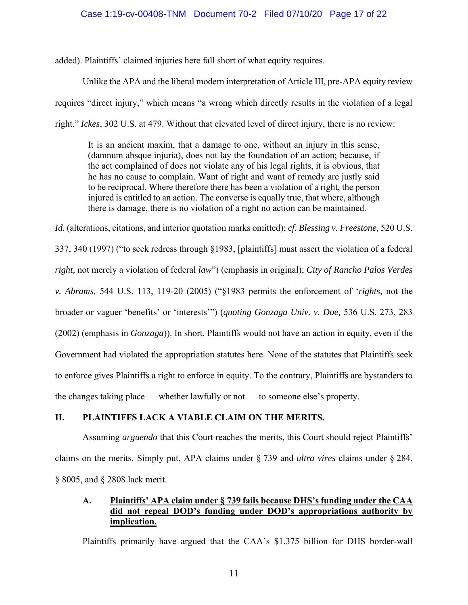#### Case 1:19-cv-00408-TNM Document 70-2 Filed 07/10/20 Page 17 of 22

added). Plaintiffs' claimed injuries here fall short of what equity requires.

Unlike the APA and the liberal modern interpretation of Article III, pre-APA equity review requires "direct injury," which means "a wrong which directly results in the violation of a legal right." *Ickes*, 302 U.S. at 479. Without that elevated level of direct injury, there is no review:

It is an ancient maxim, that a damage to one, without an injury in this sense, (damnum absque injuria), does not lay the foundation of an action; because, if the act complained of does not violate any of his legal rights, it is obvious, that he has no cause to complain. Want of right and want of remedy are justly said to be reciprocal. Where therefore there has been a violation of a right, the person injured is entitled to an action. The converse is equally true, that where, although there is damage, there is no violation of a right no action can be maintained.

*Id.* (alterations, citations, and interior quotation marks omitted); *cf. Blessing v. Freestone,* 520 U.S.

337, 340 (1997) ("to seek redress through §1983, [plaintiffs] must assert the violation of a federal *right,* not merely a violation of federal *law*") (emphasis in original); *City of Rancho Palos Verdes v. Abrams,* 544 U.S. 113, 119-20 (2005) ("§1983 permits the enforcement of '*rights,* not the broader or vaguer 'benefits' or 'interests'") (*quoting Gonzaga Univ. v. Doe,* 536 U.S. 273, 283 (2002) (emphasis in *Gonzaga*)). In short, Plaintiffs would not have an action in equity, even if the Government had violated the appropriation statutes here. None of the statutes that Plaintiffs seek to enforce gives Plaintiffs a right to enforce in equity. To the contrary, Plaintiffs are bystanders to the changes taking place — whether lawfully or not — to someone else's property.

## **II. PLAINTIFFS LACK A VIABLE CLAIM ON THE MERITS.**

Assuming *arguendo* that this Court reaches the merits, this Court should reject Plaintiffs' claims on the merits. Simply put, APA claims under § 739 and *ultra vires* claims under § 284, § 8005, and § 2808 lack merit.

## **A. Plaintiffs' APA claim under § 739 fails because DHS's funding under the CAA did not repeal DOD's funding under DOD's appropriations authority by implication.**

Plaintiffs primarily have argued that the CAA's \$1.375 billion for DHS border-wall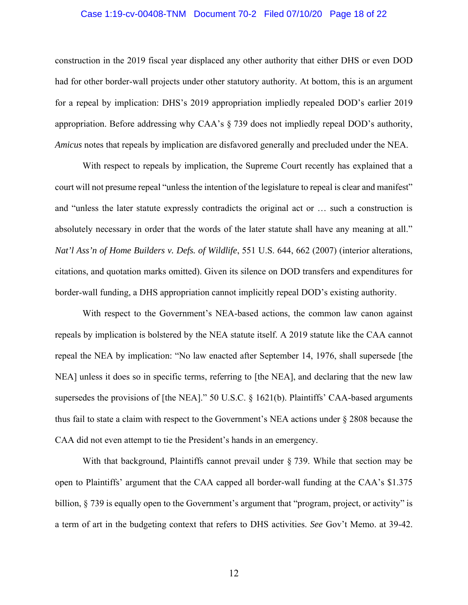#### Case 1:19-cv-00408-TNM Document 70-2 Filed 07/10/20 Page 18 of 22

construction in the 2019 fiscal year displaced any other authority that either DHS or even DOD had for other border-wall projects under other statutory authority. At bottom, this is an argument for a repeal by implication: DHS's 2019 appropriation impliedly repealed DOD's earlier 2019 appropriation. Before addressing why CAA's § 739 does not impliedly repeal DOD's authority, *Amicus* notes that repeals by implication are disfavored generally and precluded under the NEA.

With respect to repeals by implication, the Supreme Court recently has explained that a court will not presume repeal "unless the intention of the legislature to repeal is clear and manifest" and "unless the later statute expressly contradicts the original act or … such a construction is absolutely necessary in order that the words of the later statute shall have any meaning at all." *Nat'l Ass'n of Home Builders v. Defs. of Wildlife*, 551 U.S. 644, 662 (2007) (interior alterations, citations, and quotation marks omitted). Given its silence on DOD transfers and expenditures for border-wall funding, a DHS appropriation cannot implicitly repeal DOD's existing authority.

With respect to the Government's NEA-based actions, the common law canon against repeals by implication is bolstered by the NEA statute itself. A 2019 statute like the CAA cannot repeal the NEA by implication: "No law enacted after September 14, 1976, shall supersede [the NEA] unless it does so in specific terms, referring to [the NEA], and declaring that the new law supersedes the provisions of [the NEA]." 50 U.S.C. § 1621(b). Plaintiffs' CAA-based arguments thus fail to state a claim with respect to the Government's NEA actions under § 2808 because the CAA did not even attempt to tie the President's hands in an emergency.

With that background, Plaintiffs cannot prevail under § 739. While that section may be open to Plaintiffs' argument that the CAA capped all border-wall funding at the CAA's \$1.375 billion, § 739 is equally open to the Government's argument that "program, project, or activity" is a term of art in the budgeting context that refers to DHS activities. *See* Gov't Memo. at 39-42.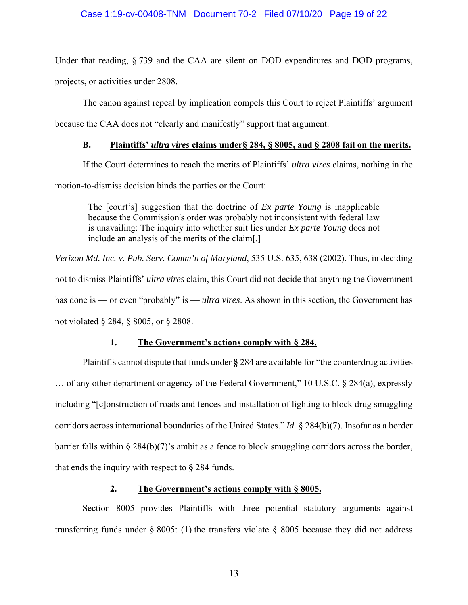#### Case 1:19-cv-00408-TNM Document 70-2 Filed 07/10/20 Page 19 of 22

Under that reading, § 739 and the CAA are silent on DOD expenditures and DOD programs, projects, or activities under 2808.

The canon against repeal by implication compels this Court to reject Plaintiffs' argument because the CAA does not "clearly and manifestly" support that argument.

## **B. Plaintiffs'** *ultra vires* **claims under§ 284, § 8005, and § 2808 fail on the merits.**

If the Court determines to reach the merits of Plaintiffs' *ultra vires* claims, nothing in the motion-to-dismiss decision binds the parties or the Court:

The [court's] suggestion that the doctrine of *Ex parte Young* is inapplicable because the Commission's order was probably not inconsistent with federal law is unavailing: The inquiry into whether suit lies under *Ex parte Young* does not include an analysis of the merits of the claim[.]

*Verizon Md. Inc. v. Pub. Serv. Comm'n of Maryland*, 535 U.S. 635, 638 (2002). Thus, in deciding not to dismiss Plaintiffs' *ultra vires* claim, this Court did not decide that anything the Government has done is — or even "probably" is — *ultra vires*. As shown in this section, the Government has not violated § 284, § 8005, or § 2808.

## **1. The Government's actions comply with § 284.**

Plaintiffs cannot dispute that funds under **§** 284 are available for "the counterdrug activities … of any other department or agency of the Federal Government," 10 U.S.C. § 284(a), expressly including "[c]onstruction of roads and fences and installation of lighting to block drug smuggling corridors across international boundaries of the United States." *Id.* § 284(b)(7). Insofar as a border barrier falls within § 284(b)(7)'s ambit as a fence to block smuggling corridors across the border, that ends the inquiry with respect to **§** 284 funds.

### **2. The Government's actions comply with § 8005.**

Section 8005 provides Plaintiffs with three potential statutory arguments against transferring funds under  $\S 8005$ : (1) the transfers violate  $\S 8005$  because they did not address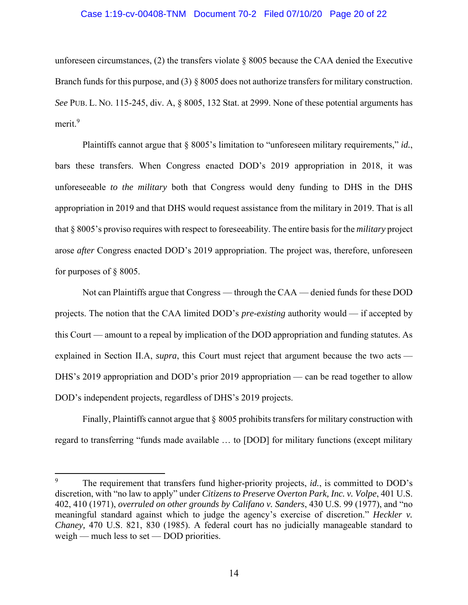#### Case 1:19-cv-00408-TNM Document 70-2 Filed 07/10/20 Page 20 of 22

unforeseen circumstances, (2) the transfers violate § 8005 because the CAA denied the Executive Branch funds for this purpose, and (3) § 8005 does not authorize transfers for military construction. *See* PUB. L. NO. 115-245, div. A, § 8005, 132 Stat. at 2999. None of these potential arguments has merit.<sup>9</sup>

Plaintiffs cannot argue that § 8005's limitation to "unforeseen military requirements," *id.*, bars these transfers. When Congress enacted DOD's 2019 appropriation in 2018, it was unforeseeable *to the military* both that Congress would deny funding to DHS in the DHS appropriation in 2019 and that DHS would request assistance from the military in 2019. That is all that § 8005's proviso requires with respect to foreseeability. The entire basis for the *military* project arose *after* Congress enacted DOD's 2019 appropriation. The project was, therefore, unforeseen for purposes of § 8005.

Not can Plaintiffs argue that Congress — through the CAA — denied funds for these DOD projects. The notion that the CAA limited DOD's *pre-existing* authority would — if accepted by this Court — amount to a repeal by implication of the DOD appropriation and funding statutes. As explained in Section II.A, *supra*, this Court must reject that argument because the two acts — DHS's 2019 appropriation and DOD's prior 2019 appropriation — can be read together to allow DOD's independent projects, regardless of DHS's 2019 projects.

Finally, Plaintiffs cannot argue that § 8005 prohibits transfers for military construction with regard to transferring "funds made available … to [DOD] for military functions (except military

<sup>9</sup> The requirement that transfers fund higher-priority projects, *id.*, is committed to DOD's discretion, with "no law to apply" under *Citizens to Preserve Overton Park, Inc. v. Volpe*, 401 U.S. 402, 410 (1971), *overruled on other grounds by Califano v. Sanders*, 430 U.S. 99 (1977), and "no meaningful standard against which to judge the agency's exercise of discretion." *Heckler v. Chaney,* 470 U.S. 821, 830 (1985). A federal court has no judicially manageable standard to weigh — much less to set — DOD priorities.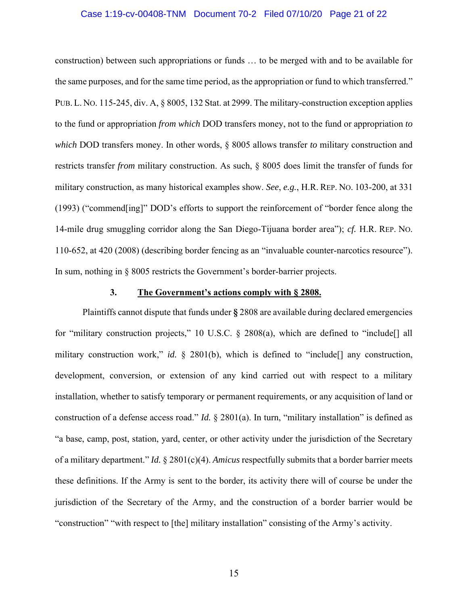#### Case 1:19-cv-00408-TNM Document 70-2 Filed 07/10/20 Page 21 of 22

construction) between such appropriations or funds … to be merged with and to be available for the same purposes, and for the same time period, as the appropriation or fund to which transferred." PUB. L. NO. 115-245, div. A, § 8005, 132 Stat. at 2999. The military-construction exception applies to the fund or appropriation *from which* DOD transfers money, not to the fund or appropriation *to which* DOD transfers money. In other words, § 8005 allows transfer *to* military construction and restricts transfer *from* military construction. As such, § 8005 does limit the transfer of funds for military construction, as many historical examples show. *See*, *e.g.*, H.R. REP. NO. 103-200, at 331 (1993) ("commend[ing]" DOD's efforts to support the reinforcement of "border fence along the 14-mile drug smuggling corridor along the San Diego-Tijuana border area"); *cf.* H.R. REP. NO. 110-652, at 420 (2008) (describing border fencing as an "invaluable counter-narcotics resource"). In sum, nothing in § 8005 restricts the Government's border-barrier projects.

#### **3. The Government's actions comply with § 2808.**

Plaintiffs cannot dispute that funds under **§** 2808 are available during declared emergencies for "military construction projects," 10 U.S.C. § 2808(a), which are defined to "include<sup>[]</sup> all military construction work," *id.* § 2801(b), which is defined to "include<sup>[]</sup> any construction, development, conversion, or extension of any kind carried out with respect to a military installation, whether to satisfy temporary or permanent requirements, or any acquisition of land or construction of a defense access road." *Id.* § 2801(a). In turn, "military installation" is defined as "a base, camp, post, station, yard, center, or other activity under the jurisdiction of the Secretary of a military department." *Id.* § 2801(c)(4). *Amicus* respectfully submits that a border barrier meets these definitions. If the Army is sent to the border, its activity there will of course be under the jurisdiction of the Secretary of the Army, and the construction of a border barrier would be "construction" "with respect to [the] military installation" consisting of the Army's activity.